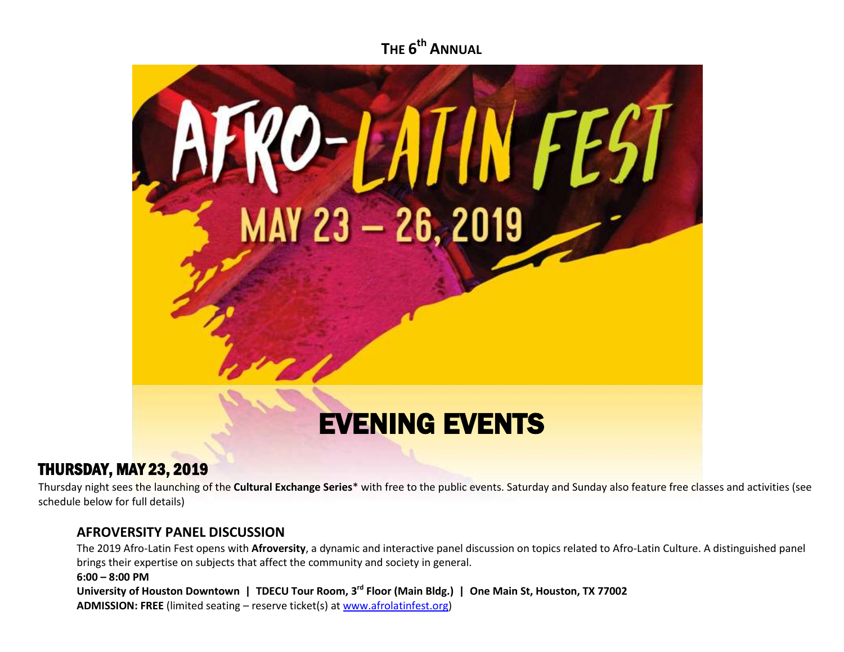**THE 6 th ANNUAL**



## THURSDAY, MAY 23, 2019

Thursday night sees the launching of the **Cultural Exchange Series**\* with free to the public events. Saturday and Sunday also feature free classes and activities (see schedule below for full details)

#### **AFROVERSITY PANEL DISCUSSION**

The 2019 Afro-Latin Fest opens with **Afroversity**, a dynamic and interactive panel discussion on topics related to Afro-Latin Culture. A distinguished panel brings their expertise on subjects that affect the community and society in general.

**6:00 – 8:00 PM**

**University of Houston Downtown | TDECU Tour Room, 3rd Floor (Main Bldg.) | One Main St, Houston, TX 77002 ADMISSION: FREE** (limited seating – reserve ticket(s) a[t www.afrolatinfest.org\)](http://www.afrolatinfest.org/)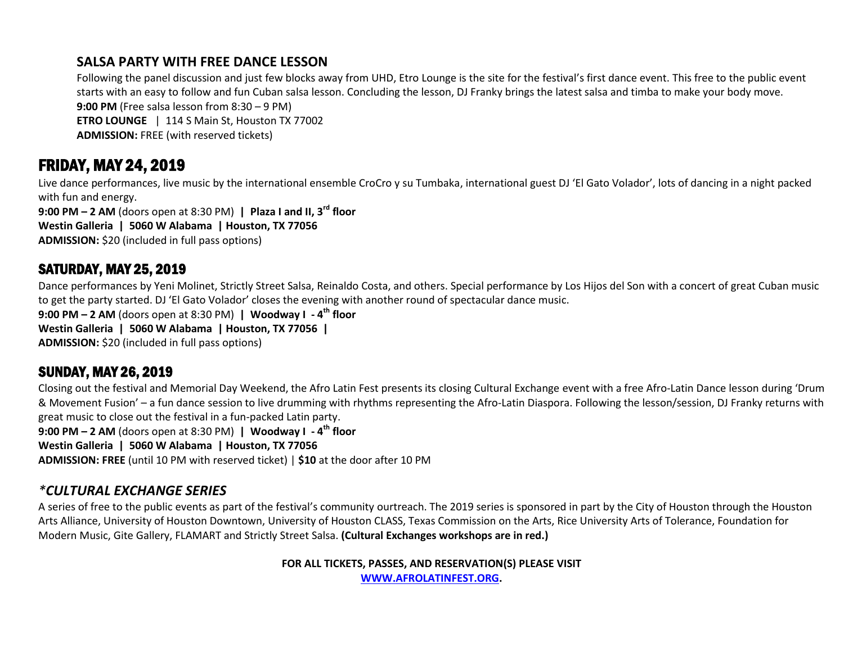### **SALSA PARTY WITH FREE DANCE LESSON**

Following the panel discussion and just few blocks away from UHD, Etro Lounge is the site for the festival's first dance event. This free to the public event starts with an easy to follow and fun Cuban salsa lesson. Concluding the lesson, DJ Franky brings the latest salsa and timba to make your body move. **9:00 PM** (Free salsa lesson from 8:30 – 9 PM) **ETRO LOUNGE** | 114 S Main St, Houston TX 77002 **ADMISSION:** FREE (with reserved tickets)

# FRIDAY, MAY 24, 2019

Live dance performances, live music by the international ensemble CroCro y su Tumbaka, international guest DJ 'El Gato Volador', lots of dancing in a night packed with fun and energy.

**9:00 PM – 2 AM** (doors open at 8:30 PM) **| Plaza I and II, 3rd floor Westin Galleria | 5060 W Alabama | Houston, TX 77056 ADMISSION:** \$20 (included in full pass options)

## SATURDAY, MAY 25, 2019

Dance performances by Yeni Molinet, Strictly Street Salsa, Reinaldo Costa, and others. Special performance by Los Hijos del Son with a concert of great Cuban music to get the party started. DJ 'El Gato Volador' closes the evening with another round of spectacular dance music. **9:00 PM – 2 AM** (doors open at 8:30 PM) **| Woodway I - 4 th floor**

**Westin Galleria | 5060 W Alabama | Houston, TX 77056 |** 

### **ADMISSION:** \$20 (included in full pass options)

## SUNDAY, MAY 26, 2019

Closing out the festival and Memorial Day Weekend, the Afro Latin Fest presents its closing Cultural Exchange event with a free Afro-Latin Dance lesson during 'Drum & Movement Fusion' – a fun dance session to live drumming with rhythms representing the Afro-Latin Diaspora. Following the lesson/session, DJ Franky returns with great music to close out the festival in a fun-packed Latin party.

**9:00 PM – 2 AM** (doors open at 8:30 PM) **| Woodway I - 4 th floor Westin Galleria | 5060 W Alabama | Houston, TX 77056 ADMISSION: FREE** (until 10 PM with reserved ticket) | **\$10** at the door after 10 PM

### *\*CULTURAL EXCHANGE SERIES*

A series of free to the public events as part of the festival's community ourtreach. The 2019 series is sponsored in part by the City of Houston through the Houston Arts Alliance, University of Houston Downtown, University of Houston CLASS, Texas Commission on the Arts, Rice University Arts of Tolerance, Foundation for Modern Music, Gite Gallery, FLAMART and Strictly Street Salsa. **(Cultural Exchanges workshops are in red.)**

> **FOR ALL TICKETS, PASSES, AND RESERVATION(S) PLEASE VISIT [WWW.AFROLATINFEST.ORG.](http://www.afrolatinfest.org/)**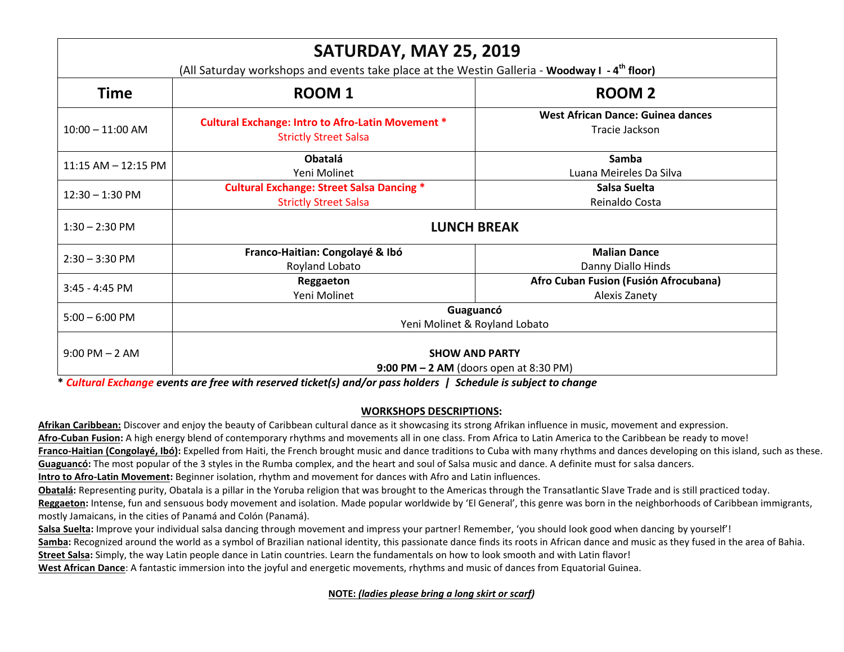| SATURDAY, MAY 25, 2019<br>(All Saturday workshops and events take place at the Westin Galleria - Woodway I - 4 <sup>th</sup> floor) |                                                                                          |                                                            |  |
|-------------------------------------------------------------------------------------------------------------------------------------|------------------------------------------------------------------------------------------|------------------------------------------------------------|--|
| <b>Time</b>                                                                                                                         | <b>ROOM1</b>                                                                             | <b>ROOM 2</b>                                              |  |
| $10:00 - 11:00$ AM                                                                                                                  | <b>Cultural Exchange: Intro to Afro-Latin Movement *</b><br><b>Strictly Street Salsa</b> | <b>West African Dance: Guinea dances</b><br>Tracie Jackson |  |
| 11:15 AM - 12:15 PM                                                                                                                 | <b>Obatalá</b><br>Yeni Molinet                                                           | Samba<br>Luana Meireles Da Silva                           |  |
| $12:30 - 1:30$ PM                                                                                                                   | <b>Cultural Exchange: Street Salsa Dancing *</b><br><b>Strictly Street Salsa</b>         | Salsa Suelta<br>Reinaldo Costa                             |  |
| $1:30 - 2:30$ PM                                                                                                                    | <b>LUNCH BREAK</b>                                                                       |                                                            |  |
| $2:30 - 3:30$ PM                                                                                                                    | Franco-Haitian: Congolayé & Ibó<br>Royland Lobato                                        | <b>Malian Dance</b><br>Danny Diallo Hinds                  |  |
| 3:45 - 4:45 PM                                                                                                                      | Reggaeton<br>Yeni Molinet                                                                | Afro Cuban Fusion (Fusión Afrocubana)<br>Alexis Zanety     |  |
| $5:00 - 6:00$ PM                                                                                                                    | Guaguancó<br>Yeni Molinet & Royland Lobato                                               |                                                            |  |
| $9:00$ PM $-2$ AM                                                                                                                   | <b>SHOW AND PARTY</b><br>9:00 PM $-2$ AM (doors open at 8:30 PM)                         |                                                            |  |

**\*** *Cultural Exchange events are free with reserved ticket(s) and/or pass holders | Schedule is subject to change*

#### **WORKSHOPS DESCRIPTIONS:**

**Afrikan Caribbean:** Discover and enjoy the beauty of Caribbean cultural dance as it showcasing its strong Afrikan influence in music, movement and expression. **Afro-Cuban Fusion:** A high energy blend of contemporary rhythms and movements all in one class. From Africa to Latin America to the Caribbean be ready to move! Franco-Haitian (Congolayé, Ibó): Expelled from Haiti, the French brought music and dance traditions to Cuba with many rhythms and dances developing on this island, such as these. Guaguancó: The most popular of the 3 styles in the Rumba complex, and the heart and soul of Salsa music and dance. A definite must for salsa dancers. **Intro to Afro-Latin Movement:** Beginner isolation, rhythm and movement for dances with Afro and Latin influences.

Obatalá: Representing purity, Obatala is a pillar in the Yoruba religion that was brought to the Americas through the Transatlantic Slave Trade and is still practiced today.

**Reggaeton:** Intense, fun and sensuous body movement and isolation. Made popular worldwide by 'El General', this genre was born in the neighborhoods of Caribbean immigrants, mostly Jamaicans, in the cities of Panamá and Colón (Panamá).

Salsa Suelta: Improve your individual salsa dancing through movement and impress your partner! Remember, 'you should look good when dancing by yourself'!

Samba: Recognized around the world as a symbol of Brazilian national identity, this passionate dance finds its roots in African dance and music as they fused in the area of Bahia. **Street Salsa:** Simply, the way Latin people dance in Latin countries. Learn the fundamentals on how to look smooth and with Latin flavor!

**West African Dance**: A fantastic immersion into the joyful and energetic movements, rhythms and music of dances from Equatorial Guinea.

**NOTE:** *(ladies please bring a long skirt or scarf)*